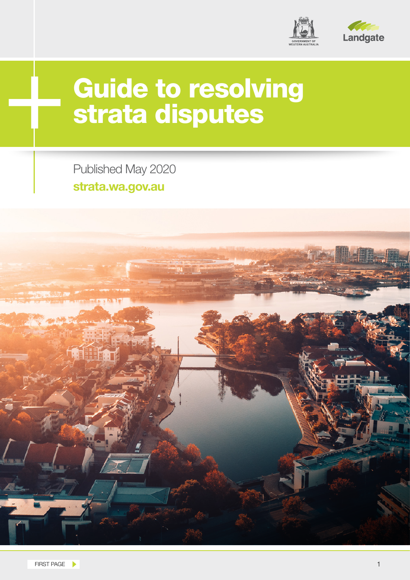

# Guide to resolving strata disputes

Published May 2020 **strata.wa.gov.au**

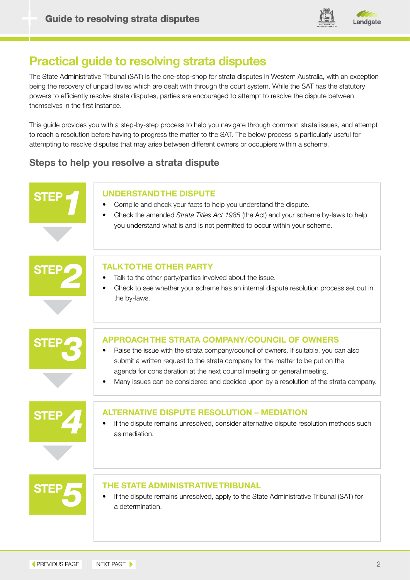

## **Practical guide to resolving strata disputes**

The State Administrative Tribunal (SAT) is the one-stop-shop for strata disputes in Western Australia, with an exception being the recovery of unpaid levies which are dealt with through the court system. While the SAT has the statutory powers to efficiently resolve strata disputes, parties are encouraged to attempt to resolve the dispute between themselves in the first instance.

This guide provides you with a step-by-step process to help you navigate through common strata issues, and attempt to reach a resolution before having to progress the matter to the SAT. The below process is particularly useful for attempting to resolve disputes that may arise between different owners or occupiers within a scheme.

### **Steps to help you resolve a strata dispute**

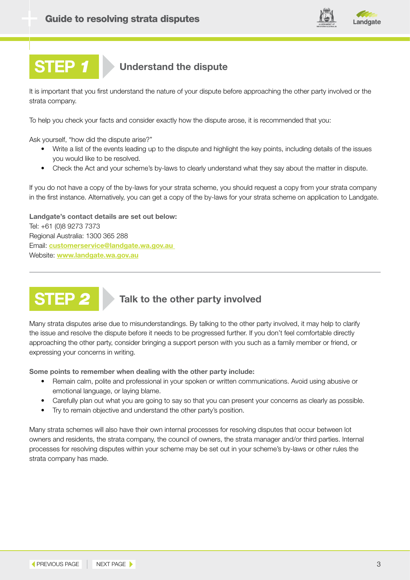

### **STEP** *1* **Understand the dispute**

It is important that you first understand the nature of your dispute before approaching the other party involved or the strata company.

To help you check your facts and consider exactly how the dispute arose, it is recommended that you:

Ask yourself, "how did the dispute arise?"

- Write a list of the events leading up to the dispute and highlight the key points, including details of the issues you would like to be resolved.
- Check the Act and your scheme's by-laws to clearly understand what they say about the matter in dispute.

If you do not have a copy of the by-laws for your strata scheme, you should request a copy from your strata company in the first instance. Alternatively, you can get a copy of the by-laws for your strata scheme on application to Landgate.

**Landgate's contact details are set out below:** Tel: +61 (0)8 9273 7373 Regional Australia: 1300 365 288 Email: **[customerservice@landgate.wa.gov.au](mailto:customerservice%40landgate.wa.gov.au%20?subject=)**  Website: **[www.landgate.wa.gov.au](http://www.landgate.wa.gov.au)**



## **STEP** *2* **Talk to the other party involved**

Many strata disputes arise due to misunderstandings. By talking to the other party involved, it may help to clarify the issue and resolve the dispute before it needs to be progressed further. If you don't feel comfortable directly approaching the other party, consider bringing a support person with you such as a family member or friend, or expressing your concerns in writing.

**Some points to remember when dealing with the other party include:** 

- Remain calm, polite and professional in your spoken or written communications. Avoid using abusive or emotional language, or laying blame.
- Carefully plan out what you are going to say so that you can present your concerns as clearly as possible.
- Try to remain objective and understand the other party's position.

Many strata schemes will also have their own internal processes for resolving disputes that occur between lot owners and residents, the strata company, the council of owners, the strata manager and/or third parties. Internal processes for resolving disputes within your scheme may be set out in your scheme's by-laws or other rules the strata company has made.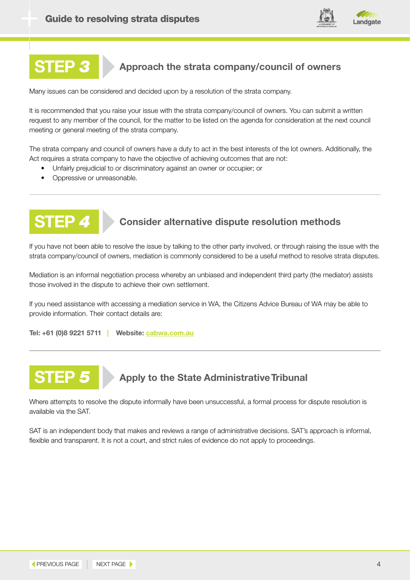

## **STEP** *3* **Approach the strata company/council of owners**

Many issues can be considered and decided upon by a resolution of the strata company.

It is recommended that you raise your issue with the strata company/council of owners. You can submit a written request to any member of the council, for the matter to be listed on the agenda for consideration at the next council meeting or general meeting of the strata company.

The strata company and council of owners have a duty to act in the best interests of the lot owners. Additionally, the Act requires a strata company to have the objective of achieving outcomes that are not:

- Unfairly prejudicial to or discriminatory against an owner or occupier; or
- Oppressive or unreasonable.



### **STEP** *4* **Consider alternative dispute resolution methods**

If you have not been able to resolve the issue by talking to the other party involved, or through raising the issue with the strata company/council of owners, mediation is commonly considered to be a useful method to resolve strata disputes.

Mediation is an informal negotiation process whereby an unbiased and independent third party (the mediator) assists those involved in the dispute to achieve their own settlement.

If you need assistance with accessing a mediation service in WA, the Citizens Advice Bureau of WA may be able to provide information. Their contact details are:

**Tel: +61 (0)8 9221 5711 | Website: [cabwa.com.au](http://cabwa.com.au)**



Where attempts to resolve the dispute informally have been unsuccessful, a formal process for dispute resolution is available via the SAT.

SAT is an independent body that makes and reviews a range of administrative decisions. SAT's approach is informal, flexible and transparent. It is not a court, and strict rules of evidence do not apply to proceedings.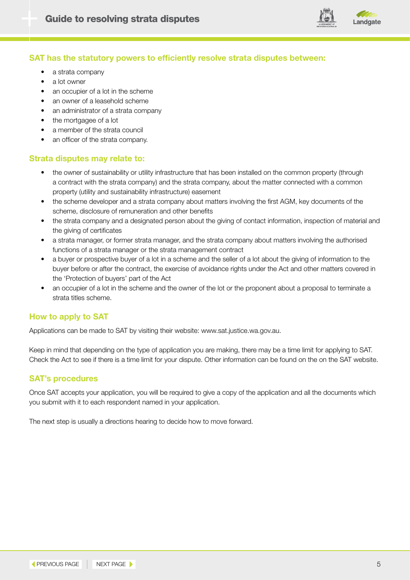

#### **SAT has the statutory powers to efficiently resolve strata disputes between:**

- a strata company
- a lot owner
- an occupier of a lot in the scheme
- an owner of a leasehold scheme
- an administrator of a strata company
- the mortgagee of a lot
- a member of the strata council
- an officer of the strata company.

#### **Strata disputes may relate to:**

- the owner of sustainability or utility infrastructure that has been installed on the common property (through a contract with the strata company) and the strata company, about the matter connected with a common property (utility and sustainability infrastructure) easement
- the scheme developer and a strata company about matters involving the first AGM, key documents of the scheme, disclosure of remuneration and other benefits
- the strata company and a designated person about the giving of contact information, inspection of material and the giving of certificates
- a strata manager, or former strata manager, and the strata company about matters involving the authorised functions of a strata manager or the strata management contract
- a buyer or prospective buyer of a lot in a scheme and the seller of a lot about the giving of information to the buyer before or after the contract, the exercise of avoidance rights under the Act and other matters covered in the 'Protection of buyers' part of the Act
- an occupier of a lot in the scheme and the owner of the lot or the proponent about a proposal to terminate a strata titles scheme.

#### **How to apply to SAT**

Applications can be made to SAT by visiting their website: www.sat.justice.wa.gov.au.

Keep in mind that depending on the type of application you are making, there may be a time limit for applying to SAT. Check the Act to see if there is a time limit for your dispute. Other information can be found on the on the SAT website.

#### **SAT's procedures**

Once SAT accepts your application, you will be required to give a copy of the application and all the documents which you submit with it to each respondent named in your application.

The next step is usually a directions hearing to decide how to move forward.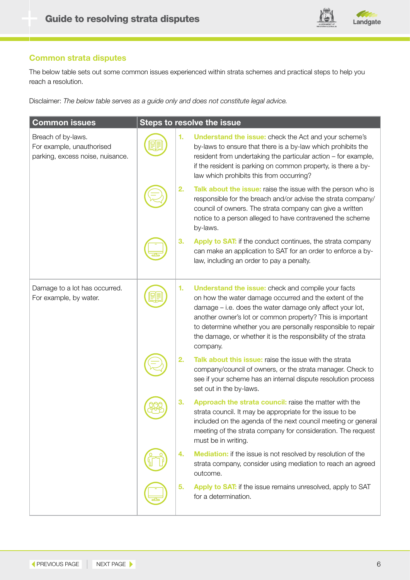

### **Common strata disputes**

The below table sets out some common issues experienced within strata schemes and practical steps to help you reach a resolution.

Disclaimer: *The below table serves as a guide only and does not constitute legal advice.* 

| <b>Common issues</b>                                                                |    | Steps to resolve the issue                                                                                                                                                                                                                                                                                                                                                                  |
|-------------------------------------------------------------------------------------|----|---------------------------------------------------------------------------------------------------------------------------------------------------------------------------------------------------------------------------------------------------------------------------------------------------------------------------------------------------------------------------------------------|
| Breach of by-laws.<br>For example, unauthorised<br>parking, excess noise, nuisance. | 1. | <b>Understand the issue:</b> check the Act and your scheme's<br>by-laws to ensure that there is a by-law which prohibits the<br>resident from undertaking the particular action - for example,<br>if the resident is parking on common property, is there a by-<br>law which prohibits this from occurring?                                                                                 |
|                                                                                     | 2. | Talk about the issue: raise the issue with the person who is<br>responsible for the breach and/or advise the strata company/<br>council of owners. The strata company can give a written<br>notice to a person alleged to have contravened the scheme<br>by-laws.                                                                                                                           |
|                                                                                     | 3. | Apply to SAT: if the conduct continues, the strata company<br>can make an application to SAT for an order to enforce a by-<br>law, including an order to pay a penalty.                                                                                                                                                                                                                     |
| Damage to a lot has occurred.<br>For example, by water.                             | 1. | <b>Understand the issue:</b> check and compile your facts<br>on how the water damage occurred and the extent of the<br>damage - i.e. does the water damage only affect your lot,<br>another owner's lot or common property? This is important<br>to determine whether you are personally responsible to repair<br>the damage, or whether it is the responsibility of the strata<br>company. |
|                                                                                     | 2. | Talk about this issue: raise the issue with the strata<br>company/council of owners, or the strata manager. Check to<br>see if your scheme has an internal dispute resolution process<br>set out in the by-laws.                                                                                                                                                                            |
|                                                                                     | 3. | Approach the strata council: raise the matter with the<br>strata council. It may be appropriate for the issue to be<br>included on the agenda of the next council meeting or general<br>meeting of the strata company for consideration. The request<br>must be in writing.                                                                                                                 |
|                                                                                     | 4. | <b>Mediation:</b> if the issue is not resolved by resolution of the<br>strata company, consider using mediation to reach an agreed<br>outcome.                                                                                                                                                                                                                                              |
|                                                                                     | 5. | Apply to SAT: if the issue remains unresolved, apply to SAT<br>for a determination.                                                                                                                                                                                                                                                                                                         |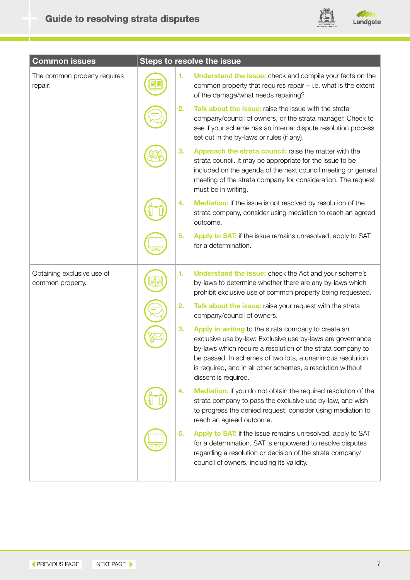

| <b>Common issues</b>                           |    | <b>Steps to resolve the issue</b>                                                                                                                                                                                                                                                                                                    |
|------------------------------------------------|----|--------------------------------------------------------------------------------------------------------------------------------------------------------------------------------------------------------------------------------------------------------------------------------------------------------------------------------------|
| The common property requires<br>repair.        | 1. | <b>Understand the issue:</b> check and compile your facts on the<br>common property that requires repair - i.e. what is the extent<br>of the damage/what needs repairing?                                                                                                                                                            |
|                                                | 2. | Talk about the issue: raise the issue with the strata<br>company/council of owners, or the strata manager. Check to<br>see if your scheme has an internal dispute resolution process<br>set out in the by-laws or rules (if any).                                                                                                    |
|                                                | З. | Approach the strata council: raise the matter with the<br>strata council. It may be appropriate for the issue to be<br>included on the agenda of the next council meeting or general<br>meeting of the strata company for consideration. The request<br>must be in writing.                                                          |
|                                                | 4. | <b>Mediation:</b> if the issue is not resolved by resolution of the<br>strata company, consider using mediation to reach an agreed<br>outcome.                                                                                                                                                                                       |
|                                                | 5. | Apply to SAT: if the issue remains unresolved, apply to SAT<br>for a determination.                                                                                                                                                                                                                                                  |
| Obtaining exclusive use of<br>common property. | 1. | <b>Understand the issue:</b> check the Act and your scheme's<br>by-laws to determine whether there are any by-laws which<br>prohibit exclusive use of common property being requested.                                                                                                                                               |
|                                                | 2. | Talk about the issue: raise your request with the strata<br>company/council of owners.                                                                                                                                                                                                                                               |
|                                                | 3. | Apply in writing to the strata company to create an<br>exclusive use by-law: Exclusive use by-laws are governance<br>by-laws which require a resolution of the strata company to<br>be passed. In schemes of two lots, a unanimous resolution<br>is required, and in all other schemes, a resolution without<br>dissent is required. |
|                                                | 4. | <b>Mediation:</b> if you do not obtain the required resolution of the<br>strata company to pass the exclusive use by-law, and wish<br>to progress the denied request, consider using mediation to<br>reach an agreed outcome.                                                                                                        |
|                                                | 5. | Apply to SAT: if the issue remains unresolved, apply to SAT<br>for a determination. SAT is empowered to resolve disputes<br>regarding a resolution or decision of the strata company/<br>council of owners, including its validity.                                                                                                  |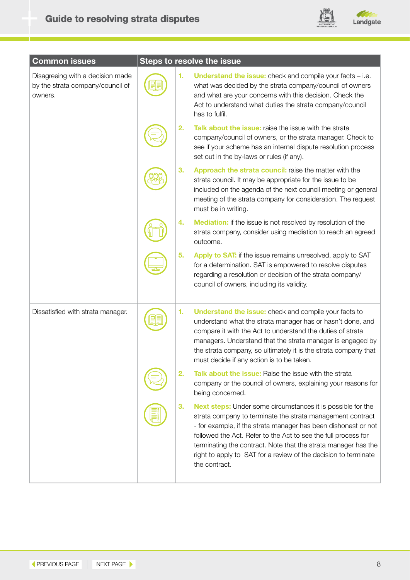

| <b>Common issues</b>                                                            |    | <b>Steps to resolve the issue</b>                                                                                                                                                                                                                                                                                                                                                                                          |
|---------------------------------------------------------------------------------|----|----------------------------------------------------------------------------------------------------------------------------------------------------------------------------------------------------------------------------------------------------------------------------------------------------------------------------------------------------------------------------------------------------------------------------|
| Disagreeing with a decision made<br>by the strata company/council of<br>owners. | 1. | <b>Understand the issue:</b> check and compile your facts $-$ i.e.<br>what was decided by the strata company/council of owners<br>and what are your concerns with this decision. Check the<br>Act to understand what duties the strata company/council<br>has to fulfil.                                                                                                                                                   |
|                                                                                 | 2. | Talk about the issue: raise the issue with the strata<br>company/council of owners, or the strata manager. Check to<br>see if your scheme has an internal dispute resolution process<br>set out in the by-laws or rules (if any).                                                                                                                                                                                          |
|                                                                                 | 3. | Approach the strata council: raise the matter with the<br>strata council. It may be appropriate for the issue to be<br>included on the agenda of the next council meeting or general<br>meeting of the strata company for consideration. The request<br>must be in writing.                                                                                                                                                |
|                                                                                 | 4. | <b>Mediation:</b> if the issue is not resolved by resolution of the<br>strata company, consider using mediation to reach an agreed<br>outcome.                                                                                                                                                                                                                                                                             |
|                                                                                 | 5. | Apply to SAT: if the issue remains unresolved, apply to SAT<br>for a determination. SAT is empowered to resolve disputes<br>regarding a resolution or decision of the strata company/<br>council of owners, including its validity.                                                                                                                                                                                        |
| Dissatisfied with strata manager.                                               | 1. | <b>Understand the issue:</b> check and compile your facts to<br>understand what the strata manager has or hasn't done, and<br>compare it with the Act to understand the duties of strata<br>managers. Understand that the strata manager is engaged by<br>the strata company, so ultimately it is the strata company that<br>must decide if any action is to be taken.                                                     |
|                                                                                 | 2. | <b>Talk about the issue:</b> Raise the issue with the strata<br>company or the council of owners, explaining your reasons for<br>being concerned.                                                                                                                                                                                                                                                                          |
|                                                                                 | 3. | <b>Next steps:</b> Under some circumstances it is possible for the<br>strata company to terminate the strata management contract<br>- for example, if the strata manager has been dishonest or not<br>followed the Act. Refer to the Act to see the full process for<br>terminating the contract. Note that the strata manager has the<br>right to apply to SAT for a review of the decision to terminate<br>the contract. |